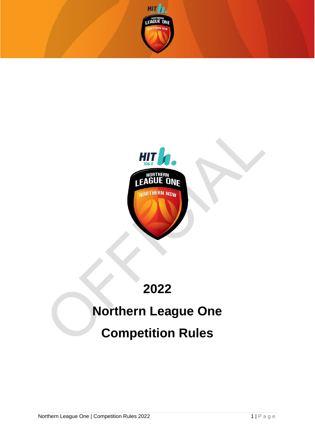



# **2022**

# **Northern League One Competition Rules**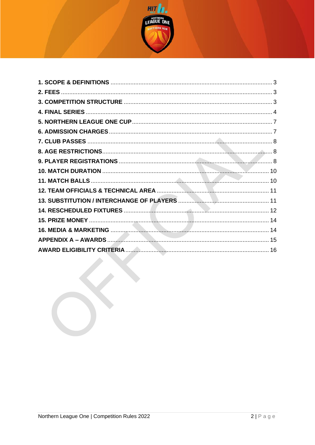

 $\mathcal{L}^{\mathbf{X}}$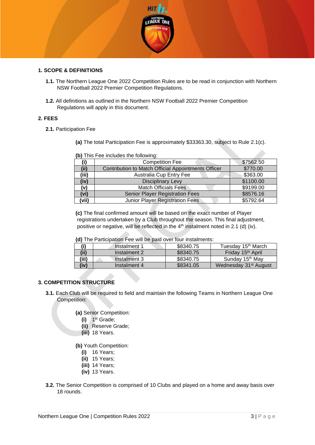

#### <span id="page-2-0"></span>**1. SCOPE & DEFINITIONS**

- **1.1.** The Northern League One 2022 Competition Rules are to be read in conjunction with Northern NSW Football 2022 Premier Competition Regulations.
- **1.2.** All definitions as outlined in the Northern NSW Football 2022 Premier Competition Regulations will apply in this document.

#### <span id="page-2-1"></span>**2. FEES**

**2.1.** Participation Fee

**(a)** The total Participation Fee is approximately \$33363.30, subject to Rule 2.1(c).

|       | <b>, o</b> , iiiu i oo iiiuidado tilo lollowiig.    |           |
|-------|-----------------------------------------------------|-----------|
|       | <b>Competition Fee</b>                              | \$7562.50 |
| (iii) | Contribution to Match Official Appointments Officer | \$770.00  |
| (iii) | Australia Cup Entry Fee                             | \$363.00  |
| (iv)  | <b>Disciplinary Levy</b>                            | \$1100.00 |
| (v)   | <b>Match Officials Fees</b>                         | \$9199.00 |
| vi)   | <b>Senior Player Registration Fees</b>              | \$8576.16 |
| vii)  | Junior Player Registration Fees                     | \$5792.64 |

**(b)** This Fee includes the following:

**(c)** The final confirmed amount will be based on the exact number of Player registrations undertaken by a Club throughout the season. This final adjustment, positive or negative, will be reflected in the 4<sup>th</sup> instalment noted in 2.1 (d) (iv).

**(d)** The Participation Fee will be paid over four instalments:

|       | Instalment 1 | \$8340.75 | Tuesday 15 <sup>th</sup> March    |
|-------|--------------|-----------|-----------------------------------|
| (ii)  | Instalment 2 | \$8340.75 | Friday 15 <sup>th</sup> April     |
| (iii) | Instalment 3 | \$8340.75 | Sunday 15 <sup>th</sup> May       |
| (iv)  | Instalment 4 | \$8341.05 | Wednesday 31 <sup>st</sup> August |

## <span id="page-2-2"></span>**3. COMPETITION STRUCTURE**

**3.1.** Each Club will be required to field and maintain the following Teams in Northern League One Competition:

**(a)** Senior Competition:

- **(i)** 1 st Grade;
- **(ii)** Reserve Grade;
- **(iii)** 18 Years.

**(b)** Youth Competition:

- **(i)** 16 Years;
- **(ii)** 15 Years;
- **(iii)** 14 Years;
- **(iv)** 13 Years.
- **3.2.** The Senior Competition is comprised of 10 Clubs and played on a home and away basis over 18 rounds.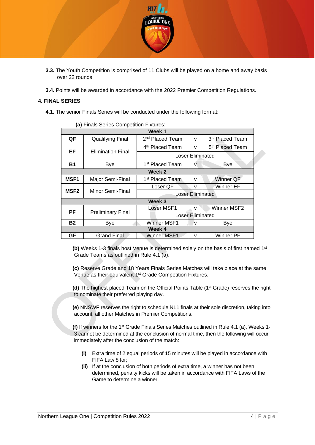

- **3.3.** The Youth Competition is comprised of 11 Clubs will be played on a home and away basis over 22 rounds
- **3.4.** Points will be awarded in accordance with the 2022 Premier Competition Regulations.

#### <span id="page-3-0"></span>**4. FINAL SERIES**

**4.1.** The senior Finals Series will be conducted under the following format:

| a) Finais Series Competition Fixtures: |                          |                             |                             |   |                             |  |
|----------------------------------------|--------------------------|-----------------------------|-----------------------------|---|-----------------------------|--|
|                                        | Week 1                   |                             |                             |   |                             |  |
| QF                                     | <b>Qualifying Final</b>  | 2 <sup>nd</sup> Placed Team |                             | v | 3rd Placed Team             |  |
|                                        |                          |                             | 4 <sup>th</sup> Placed Team | v | 5 <sup>th</sup> Placed Team |  |
| EF                                     | <b>Elimination Final</b> |                             | <b>Loser Eliminated</b>     |   |                             |  |
| <b>B1</b>                              | Bye                      | 1st Placed Team             |                             | v | Bye                         |  |
| Week 2                                 |                          |                             |                             |   |                             |  |
| <b>MSF1</b>                            | Major Semi-Final         | 1st Placed Team             |                             | v | Winner QF                   |  |
|                                        |                          | Loser QF                    |                             | v | Winner EF                   |  |
| <b>MSF2</b>                            | Minor Semi-Final         |                             | <b>Loser Eliminated</b>     |   |                             |  |
|                                        |                          | Week 3                      |                             |   |                             |  |
|                                        |                          | Loser MSF1                  |                             | v | Winner MSF2                 |  |
| РF                                     | <b>Preliminary Final</b> |                             | <b>Loser Eliminated</b>     |   |                             |  |
| Β2                                     | Bye                      | Winner MSF1                 |                             | v | Bye                         |  |
|                                        |                          | Week 4                      |                             |   |                             |  |
| GF                                     | <b>Grand Final</b>       | Winner MSF1                 |                             | v | Winner PF                   |  |

**(a)** Finale Series Competition Fixtures

**(b)** Weeks 1-3 finals host Venue is determined solely on the basis of first named 1<sup>st</sup> Grade Teams as outlined in Rule 4.1 (a).

**(c)** Reserve Grade and 18 Years Finals Series Matches will take place at the same Venue as their equivalent 1<sup>st</sup> Grade Competition Fixtures.

**(d)** The highest placed Team on the Official Points Table (1st Grade) reserves the right to nominate their preferred playing day.

**(e)** NNSWF reserves the right to schedule NL1 finals at their sole discretion, taking into account, all other Matches in Premier Competitions.

**(f)** If winners for the 1<sup>st</sup> Grade Finals Series Matches outlined in Rule 4.1 (a), Weeks 1-3 cannot be determined at the conclusion of normal time, then the following will occur immediately after the conclusion of the match:

- **(i)** Extra time of 2 equal periods of 15 minutes will be played in accordance with FIFA Law 8 for;
- **(ii)** If at the conclusion of both periods of extra time, a winner has not been determined, penalty kicks will be taken in accordance with FIFA Laws of the Game to determine a winner.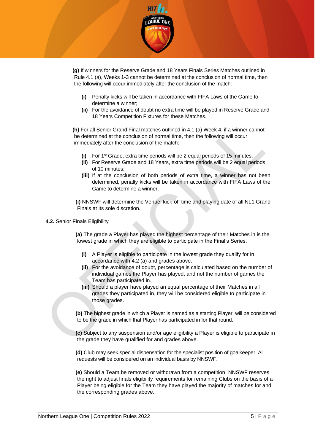

**(g)** If winners for the Reserve Grade and 18 Years Finals Series Matches outlined in Rule 4.1 (a), Weeks 1-3 cannot be determined at the conclusion of normal time, then the following will occur immediately after the conclusion of the match:

- **(i)** Penalty kicks will be taken in accordance with FIFA Laws of the Game to determine a winner;
- **(ii)** For the avoidance of doubt no extra time will be played in Reserve Grade and 18 Years Competition Fixtures for these Matches.

**(h)** For all Senior Grand Final matches outlined in 4.1 (a) Week 4, if a winner cannot be determined at the conclusion of normal time, then the following will occur immediately after the conclusion of the match:

- **(i)** For 1st Grade, extra time periods will be 2 equal periods of 15 minutes;
- **(ii)** For Reserve Grade and 18 Years, extra time periods will be 2 equal periods of 10 minutes;
- **(iii)** If at the conclusion of both periods of extra time, a winner has not been determined, penalty kicks will be taken in accordance with FIFA Laws of the Game to determine a winner.

**(i)** NNSWF will determine the Venue, kick-off time and playing date of all NL1 Grand Finals at its sole discretion.

#### **4.2.** Senior Finals Eligibility

**(a)** The grade a Player has played the highest percentage of their Matches in is the lowest grade in which they are eligible to participate in the Final's Series.

- **(i)** A Player is eligible to participate in the lowest grade they qualify for in accordance with 4.2 (a) and grades above.
- **(ii)** For the avoidance of doubt, percentage is calculated based on the number of individual games the Player has played, and not the number of games the Team has participated in.
- **(iii)** Should a player have played an equal percentage of their Matches in all grades they participated in, they will be considered eligible to participate in those grades.

**(b)** The highest grade in which a Player is named as a starting Player, will be considered to be the grade in which that Player has participated in for that round.

**(c)** Subject to any suspension and/or age eligibility a Player is eligible to participate in the grade they have qualified for and grades above.

**(d)** Club may seek special dispensation for the specialist position of goalkeeper. All requests will be considered on an individual basis by NNSWF.

**(e)** Should a Team be removed or withdrawn from a competition, NNSWF reserves the right to adjust finals eligibility requirements for remaining Clubs on the basis of a Player being eligible for the Team they have played the majority of matches for and the corresponding grades above.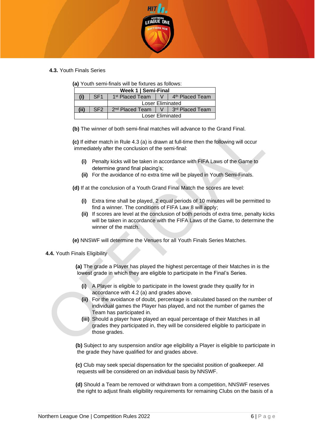

**4.3.** Youth Finals Series

|  | (a) Youth semi-finals will be fixtures as follows: |  |  |
|--|----------------------------------------------------|--|--|
|  |                                                    |  |  |

| Week 1   Semi-Final |                 |                                                                         |  |                                 |
|---------------------|-----------------|-------------------------------------------------------------------------|--|---------------------------------|
|                     | SF <sub>1</sub> | 1 <sup>st</sup> Placed Team                                             |  | V   4 <sup>th</sup> Placed Team |
| Loser Eliminated    |                 |                                                                         |  |                                 |
| (i)                 | SF <sub>2</sub> | $2nd$ Placed Team $\parallel$ V $\parallel$ 3 <sup>rd</sup> Placed Team |  |                                 |
|                     |                 | Loser Eliminated                                                        |  |                                 |

**(b)** The winner of both semi-final matches will advance to the Grand Final.

**(c)** If either match in Rule 4.3 (a) is drawn at full-time then the following will occur immediately after the conclusion of the semi-final:

- **(i)** Penalty kicks will be taken in accordance with FIFA Laws of the Game to determine grand final placing's;
- **(ii)** For the avoidance of no extra time will be played in Youth Semi-Finals.

**(d)** If at the conclusion of a Youth Grand Final Match the scores are level:

- **(i)** Extra time shall be played, 2 equal periods of 10 minutes will be permitted to find a winner. The conditions of FIFA Law 8 will apply;
- **(ii)** If scores are level at the conclusion of both periods of extra time, penalty kicks will be taken in accordance with the FIFA Laws of the Game, to determine the winner of the match.

**(e)** NNSWF will determine the Venues for all Youth Finals Series Matches.

**4.4.** Youth Finals Eligibility

**(a)** The grade a Player has played the highest percentage of their Matches in is the lowest grade in which they are eligible to participate in the Final's Series.

- **(i)** A Player is eligible to participate in the lowest grade they qualify for in accordance with 4.2 (a) and grades above.
- **(ii)** For the avoidance of doubt, percentage is calculated based on the number of individual games the Player has played, and not the number of games the Team has participated in.
- **(iii)** Should a player have played an equal percentage of their Matches in all grades they participated in, they will be considered eligible to participate in those grades.

**(b)** Subject to any suspension and/or age eligibility a Player is eligible to participate in the grade they have qualified for and grades above.

**(c)** Club may seek special dispensation for the specialist position of goalkeeper. All requests will be considered on an individual basis by NNSWF.

**(d)** Should a Team be removed or withdrawn from a competition, NNSWF reserves the right to adjust finals eligibility requirements for remaining Clubs on the basis of a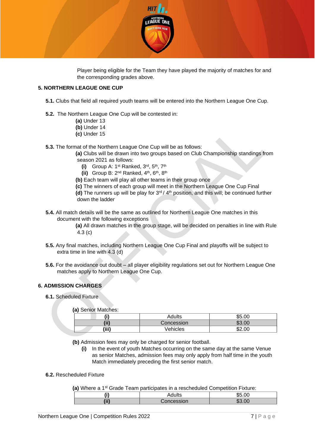

Player being eligible for the Team they have played the majority of matches for and the corresponding grades above.

#### <span id="page-6-0"></span>**5. NORTHERN LEAGUE ONE CUP**

- **5.1.** Clubs that field all required youth teams will be entered into the Northern League One Cup.
- **5.2.** The Northern League One Cup will be contested in:
	- **(a)** Under 13
	- **(b)** Under 14
	- **(c)** Under 15
- **5.3.** The format of the Northern League One Cup will be as follows:
	- **(a)** Clubs will be drawn into two groups based on Club Championship standings from season 2021 as follows:
		- **(i)** Group A: 1st Ranked, 3rd, 5th, 7th
		- **(ii)** Group B: 2nd Ranked, 4th, 6th, 8th
	- **(b)** Each team will play all other teams in their group once
	- **(c)** The winners of each group will meet in the Northern League One Cup Final

**(d)** The runners up will be play for 3rd / 4th position, and this will; be continued further down the ladder

**5.4.** All match details will be the same as outlined for Northern League One matches in this document with the following exceptions

> **(a)** All drawn matches in the group stage, will be decided on penalties in line with Rule 4.3 (c)

- **5.5.** Any final matches, including Northern League One Cup Final and playoffs will be subject to extra time in line with 4.3 (d)
- **5.6.** For the avoidance out doubt all player eligibility regulations set out for Northern League One matches apply to Northern League One Cup.

#### <span id="page-6-1"></span>**6. ADMISSION CHARGES**

**6.1.** Scheduled Fixture

**(a)** Senior Matches:

| יי    | Adults     | \$5.00             |
|-------|------------|--------------------|
| (ii)  | Concession | \$3.00             |
| (iii) | Vehicles   | ሶሳ<br>.00<br>- D∠. |

**(b)** Admission fees may only be charged for senior football.

- **(i)** In the event of youth Matches occurring on the same day at the same Venue as senior Matches, admission fees may only apply from half time in the youth Match immediately preceding the first senior match.
- **6.2.** Rescheduled Fixture

(a) Where a 1<sup>st</sup> Grade Team participates in a rescheduled Competition Fixture:

| $- - -$   | Adults     | JU.∪U |
|-----------|------------|-------|
| 7:IV<br>. | reion<br>. | m.    |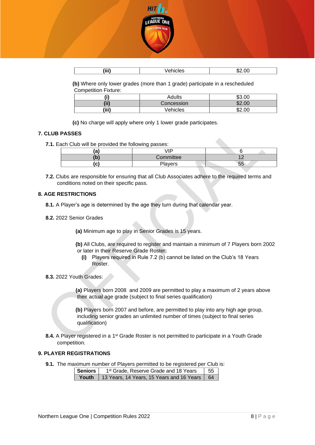

| (iii) | aes | m c<br>' ال<br>∕ ⊕<br>____ |
|-------|-----|----------------------------|

**(b)** Where only lower grades (more than 1 grade) participate in a rescheduled Competition Fixture:

| "     | Adults          | \$3.00   |
|-------|-----------------|----------|
| (ii)  | Concession      | .00<br>ጥ |
| (iii) | <b>Vehicles</b> | \$2.00   |

**(c)** No charge will apply where only 1 lower grade participates.

#### <span id="page-7-0"></span>**7. CLUB PASSES**

**7.1.** Each Club will be provided the following passes:

| - 1<br>a | ID        |    |
|----------|-----------|----|
|          | Committee |    |
| u        | Players   | cc |

**7.2.** Clubs are responsible for ensuring that all Club Associates adhere to the required terms and conditions noted on their specific pass.

#### <span id="page-7-1"></span>**8. AGE RESTRICTIONS**

- **8.1.** A Player's age is determined by the age they turn during that calendar year.
- **8.2.** 2022 Senior Grades

**(a)** Minimum age to play in Senior Grades is 15 years.

**(b)** All Clubs, are required to register and maintain a minimum of 7 Players born 2002 or later in their Reserve Grade Roster:

- **(i)** Players required in Rule 7.2 (b) cannot be listed on the Club's 18 Years Roster.
- **8.3.** 2022 Youth Grades:

**(a)** Players born 2008 and 2009 are permitted to play a maximum of 2 years above their actual age grade (subject to final series qualification)

**(b)** Players born 2007 and before, are permitted to play into any high age group, including senior grades an unlimited number of times (subject to final series qualification)

**8.4.** A Player registered in a 1<sup>st</sup> Grade Roster is not permitted to participate in a Youth Grade competition.

#### <span id="page-7-2"></span>**9. PLAYER REGISTRATIONS**

**9.1.** The maximum number of Players permitted to be registered per Club is:

| Seniors I | 55<br>1 <sup>st</sup> Grade, Reserve Grade and 18 Years |  |  |
|-----------|---------------------------------------------------------|--|--|
|           | Youth   13 Years, 14 Years, 15 Years and 16 Years   64  |  |  |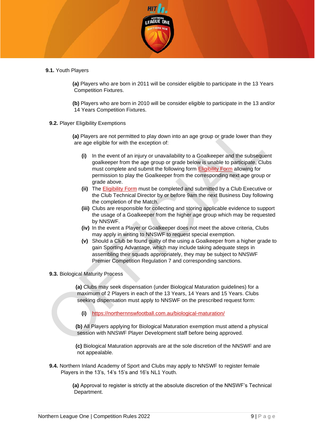

**9.1.** Youth Players

**(a)** Players who are born in 2011 will be consider eligible to participate in the 13 Years Competition Fixtures.

**(b)** Players who are born in 2010 will be consider eligible to participate in the 13 and/or 14 Years Competition Fixtures.

**9.2.** Player Eligibility Exemptions

**(a)** Players are not permitted to play down into an age group or grade lower than they are age eligible for with the exception of:

- **(i)** In the event of an injury or unavailability to a Goalkeeper and the subsequent goalkeeper from the age group or grade below is unable to participate, Clubs must complete and submit the following form [Eligibility Form](https://form.jotform.com/220327031254038) allowing for permission to play the Goalkeeper from the corresponding next age group or grade above.
- **(ii)** The [Eligibility Form](https://form.jotform.com/220327031254038) must be completed and submitted by a Club Executive or the Club Technical Director by or before 9am the next Business Day following the completion of the Match.
- **(iii)** Clubs are responsible for collecting and storing applicable evidence to support the usage of a Goalkeeper from the higher age group which may be requested by NNSWF.
- **(iv)** In the event a Player or Goalkeeper does not meet the above criteria, Clubs may apply in writing to NNSWF to request special exemption.
- **(v)** Should a Club be found guilty of the using a Goalkeeper from a higher grade to gain Sporting Advantage, which may include taking adequate steps in assembling their squads appropriately, they may be subject to NNSWF Premier Competition Regulation 7 and corresponding sanctions.
- **9.3.** Biological Maturity Process

**(a)** Clubs may seek dispensation (under Biological Maturation guidelines) for a maximum of 2 Players in each of the 13 Years, 14 Years and 15 Years. Clubs seeking dispensation must apply to NNSWF on the prescribed request form:

**(i)** <https://northernnswfootball.com.au/biological-maturation/>

**(b)** All Players applying for Biological Maturation exemption must attend a physical session with NNSWF Player Development staff before being approved.

**(c)** Biological Maturation approvals are at the sole discretion of the NNSWF and are not appealable.

**9.4.** Northern Inland Academy of Sport and Clubs may apply to NNSWF to register female Players in the 13's, 14's 15's and 16's NL1 Youth.

> **(a)** Approval to register is strictly at the absolute discretion of the NNSWF's Technical Department.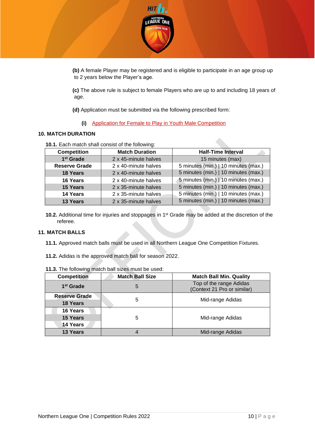

**(b)** A female Player may be registered and is eligible to participate in an age group up to 2 years below the Player's age.

**(c)** The above rule is subject to female Players who are up to and including 18 years of age.

**(d)** Application must be submitted via the following prescribed form:

**(i)** [Application for Female to Play in Youth Male Competition](https://form.jotform.com/220327779607867)

#### <span id="page-9-0"></span>**10. MATCH DURATION**

**10.1.** Each match shall consist of the following:

| <b>Competition</b>    | <b>Match Duration</b> | <b>Half-Time Interval</b>            |
|-----------------------|-----------------------|--------------------------------------|
| 1 <sup>st</sup> Grade | 2 x 45-minute halves  | 15 minutes (max)                     |
| <b>Reserve Grade</b>  | 2 x 40-minute halves  | 5 minutes (min.)   10 minutes (max.) |
| 18 Years              | 2 x 40-minute halves  | 5 minutes (min.)   10 minutes (max.) |
| 16 Years              | 2 x 40-minute halves  | 5 minutes (min.)   10 minutes (max.) |
| 15 Years              | 2 x 35-minute halves  | 5 minutes (min.)   10 minutes (max.) |
| 14 Years              | 2 x 35-minute halves  | 5 minutes (min.)   10 minutes (max.) |
| 13 Years              | 2 x 35-minute halves  | 5 minutes (min.)   10 minutes (max.) |

**10.2.** Additional time for injuries and stoppages in 1<sup>st</sup> Grade may be added at the discretion of the referee.

#### <span id="page-9-1"></span>**11. MATCH BALLS**

- **11.1.** Approved match balls must be used in all Northern League One Competition Fixtures.
- **11.2.** Adidas is the approved match ball for season 2022.

| <b>Competition</b>                      | <b>Match Ball Size</b> | <b>Match Ball Min. Quality</b>                         |
|-----------------------------------------|------------------------|--------------------------------------------------------|
| 1 <sup>st</sup> Grade                   | 5                      | Top of the range Adidas<br>(Context 21 Pro or similar) |
| <b>Reserve Grade</b><br><b>18 Years</b> | 5                      | Mid-range Adidas                                       |
| 16 Years<br>15 Years                    | 5                      | Mid-range Adidas                                       |
| 14 Years                                |                        |                                                        |
| 13 Years                                |                        | Mid-range Adidas                                       |

**11.3.** The following match ball sizes must be used: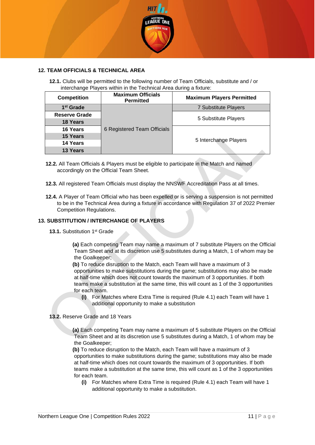

#### <span id="page-10-0"></span>**12. TEAM OFFICIALS & TECHNICAL AREA**

**12.1.** Clubs will be permitted to the following number of Team Officials, substitute and / or interchange Players within in the Technical Area during a fixture:

| <b>Competition</b>    | <b>Maximum Officials</b><br><b>Permitted</b> | <b>Maximum Players Permitted</b> |
|-----------------------|----------------------------------------------|----------------------------------|
| 1 <sup>st</sup> Grade |                                              | 7 Substitute Players             |
| <b>Reserve Grade</b>  |                                              | 5 Substitute Players             |
| <b>18 Years</b>       | 6 Registered Team Officials                  |                                  |
| 16 Years              |                                              |                                  |
| 15 Years              |                                              |                                  |
| 14 Years              |                                              | 5 Interchange Players            |
| 13 Years              |                                              |                                  |

- **12.2.** All Team Officials & Players must be eligible to participate in the Match and named accordingly on the Official Team Sheet.
- **12.3.** All registered Team Officials must display the NNSWF Accreditation Pass at all times.
- **12.4.** A Player of Team Official who has been expelled or is serving a suspension is not permitted to be in the Technical Area during a fixture in accordance with Regulation 37 of 2022 Premier Competition Regulations.

#### <span id="page-10-1"></span>**13. SUBSTITUTION / INTERCHANGE OF PLAYERS**

13.1. Substitution 1<sup>st</sup> Grade

**(a)** Each competing Team may name a maximum of 7 substitute Players on the Official Team Sheet and at its discretion use 5 substitutes during a Match, 1 of whom may be the Goalkeeper;

**(b)** To reduce disruption to the Match, each Team will have a maximum of 3 opportunities to make substitutions during the game; substitutions may also be made at half-time which does not count towards the maximum of 3 opportunities. If both teams make a substitution at the same time, this will count as 1 of the 3 opportunities for each team.

- **(i)** For Matches where Extra Time is required (Rule 4.1) each Team will have 1 additional opportunity to make a substitution
- **13.2.** Reserve Grade and 18 Years
	- **(a)** Each competing Team may name a maximum of 5 substitute Players on the Official Team Sheet and at its discretion use 5 substitutes during a Match, 1 of whom may be the Goalkeeper;

**(b)** To reduce disruption to the Match, each Team will have a maximum of 3 opportunities to make substitutions during the game; substitutions may also be made at half-time which does not count towards the maximum of 3 opportunities. If both teams make a substitution at the same time, this will count as 1 of the 3 opportunities for each team.

**(i)** For Matches where Extra Time is required (Rule 4.1) each Team will have 1 additional opportunity to make a substitution.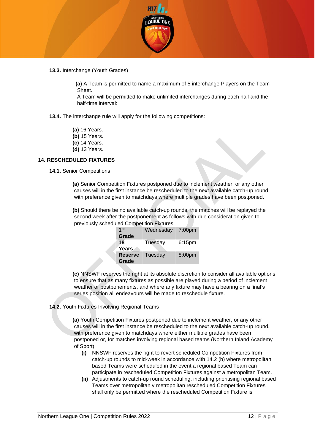

**13.3.** Interchange (Youth Grades)

**(a)** A Team is permitted to name a maximum of 5 interchange Players on the Team Sheet.

A Team will be permitted to make unlimited interchanges during each half and the half-time interval:

**13.4.** The interchange rule will apply for the following competitions:

- **(a)** 16 Years.
- **(b)** 15 Years.
- **(c)** 14 Years.
- **(d)** 13 Years.

#### <span id="page-11-0"></span>**14. RESCHEDULED FIXTURES**

**14.1.** Senior Competitions

**(a)** Senior Competition Fixtures postponed due to inclement weather, or any other causes will in the first instance be rescheduled to the next available catch-up round, with preference given to matchdays where multiple grades have been postponed.

**(b)** Should there be no available catch-up rounds, the matches will be replayed the second week after the postponement as follows with due consideration given to previously scheduled Competition Fixtures:

| 1st            | Wednesday | 7:00 <sub>pm</sub> |
|----------------|-----------|--------------------|
| Grade          |           |                    |
| 18             | Tuesday   | 6:15pm             |
| Years          |           |                    |
| <b>Reserve</b> | Tuesday   | 8:00pm             |
| Grade          |           |                    |
|                |           |                    |

**(c)** NNSWF reserves the right at its absolute discretion to consider all available options to ensure that as many fixtures as possible are played during a period of inclement weather or postponements, and where any fixture may have a bearing on a final's series position all endeavours will be made to reschedule fixture.

**14.2.** Youth Fixtures Involving Regional Teams

**(a)** Youth Competition Fixtures postponed due to inclement weather, or any other causes will in the first instance be rescheduled to the next available catch-up round, with preference given to matchdays where either multiple grades have been postponed or, for matches involving regional based teams (Northern Inland Academy of Sport).

- **(i)** NNSWF reserves the right to revert scheduled Competition Fixtures from catch-up rounds to mid-week in accordance with 14.2 (b) where metropolitan based Teams were scheduled in the event a regional based Team can participate in rescheduled Competition Fixtures against a metropolitan Team.
- **(ii)** Adjustments to catch-up round scheduling, including prioritising regional based Teams over metropolitan v metropolitan rescheduled Competition Fixtures shall only be permitted where the rescheduled Competition Fixture is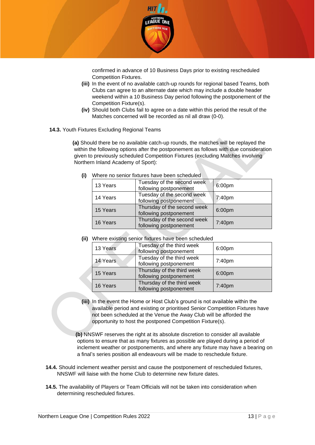

confirmed in advance of 10 Business Days prior to existing rescheduled Competition Fixtures.

- **(iii)** In the event of no available catch-up rounds for regional based Teams, both Clubs can agree to an alternate date which may include a double header weekend within a 10 Business Day period following the postponement of the Competition Fixture(s).
- **(iv)** Should both Clubs fail to agree on a date within this period the result of the Matches concerned will be recorded as nil all draw (0-0).
- **14.3.** Youth Fixtures Excluding Regional Teams

**(a)** Should there be no available catch-up rounds, the matches will be replayed the within the following options after the postponement as follows with due consideration given to previously scheduled Competition Fixtures (excluding Matches involving Northern Inland Academy of Sport):

| 13 Years | Tuesday of the second week<br>following postponement  | 6:00pm             |
|----------|-------------------------------------------------------|--------------------|
| 14 Years | Tuesday of the second week<br>following postponement  | 7:40pm             |
| 15 Years | Thursday of the second week<br>following postponement | 6:00 <sub>pm</sub> |
| 16 Years | Thursday of the second week<br>following postponement | 7:40pm             |

**(i)** Where no senior fixtures have been scheduled

**(ii)** Where existing senior fixtures have been scheduled

| 13 Years | Tuesday of the third week<br>following postponement  | 6:00pm |
|----------|------------------------------------------------------|--------|
| 14 Years | Tuesday of the third week<br>following postponement  | 7:40pm |
| 15 Years | Thursday of the third week<br>following postponement | 6:00pm |
| 16 Years | Thursday of the third week<br>following postponement | 7:40pm |

**(iii)** In the event the Home or Host Club's ground is not available within the available period and existing or prioritised Senior Competition Fixtures have not been scheduled at the Venue the Away Club will be afforded the opportunity to host the postponed Competition Fixture(s).

**(b)** NNSWF reserves the right at its absolute discretion to consider all available options to ensure that as many fixtures as possible are played during a period of inclement weather or postponements, and where any fixture may have a bearing on a final's series position all endeavours will be made to reschedule fixture.

- **14.4.** Should inclement weather persist and cause the postponement of rescheduled fixtures, NNSWF will liaise with the home Club to determine new fixture dates.
- **14.5.** The availability of Players or Team Officials will not be taken into consideration when determining rescheduled fixtures.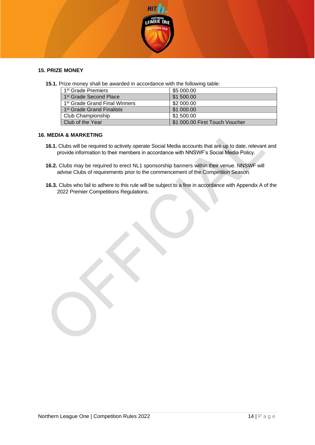

#### <span id="page-13-0"></span>**15. PRIZE MONEY**

**15.1.** Prize money shall be awarded in accordance with the following table:

| 1 <sup>st</sup> Grade Premiers            | \$5 000.00                     |
|-------------------------------------------|--------------------------------|
| 1 <sup>st</sup> Grade Second Place        | \$1 500.00                     |
| 1 <sup>st</sup> Grade Grand Final Winners | \$2 000.00                     |
| 1 <sup>st</sup> Grade Grand Finalists     | \$1 000.00                     |
| Club Championship                         | \$1 500.00                     |
| Club of the Year                          | \$1 000.00 First Touch Voucher |

#### <span id="page-13-1"></span>**16. MEDIA & MARKETING**

- **16.1.** Clubs will be required to actively operate Social Media accounts that are up to date, relevant and provide information to their members in accordance with NNSWF's Social Media Policy.
- **16.2.** Clubs may be required to erect NL1 sponsorship banners within their venue. NNSWF will advise Clubs of requirements prior to the commencement of the Competition Season.
- **16.3.** Clubs who fail to adhere to this rule will be subject to a fine in accordance with Appendix A of the 2022 Premier Competitions Regulations.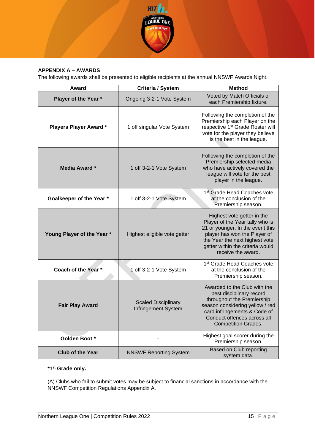

## <span id="page-14-0"></span>**APPENDIX A – AWARDS**

The following awards shall be presented to eligible recipients at the annual NNSWF Awards Night.

| Award<br>Criteria / System   |                                                   | <b>Method</b>                                                                                                                                                                                                                 |
|------------------------------|---------------------------------------------------|-------------------------------------------------------------------------------------------------------------------------------------------------------------------------------------------------------------------------------|
| Player of the Year *         | Ongoing 3-2-1 Vote System                         | Voted by Match Officials of<br>each Premiership fixture.                                                                                                                                                                      |
| <b>Players Player Award*</b> | 1 off singular Vote System                        | Following the completion of the<br>Premiership each Player on the<br>respective 1 <sup>st</sup> Grade Roster will<br>vote for the player they believe<br>is the best in the league.                                           |
| <b>Media Award *</b>         | 1 off 3-2-1 Vote System                           | Following the completion of the<br>Premiership selected media<br>who have actively covered the<br>league will vote for the best<br>player in the league.                                                                      |
| Goalkeeper of the Year *     | 1 off 3-2-1 Vote System                           | 1 <sup>st</sup> Grade Head Coaches vote<br>at the conclusion of the<br>Premiership season.                                                                                                                                    |
| Young Player of the Year *   | Highest eligible vote getter                      | Highest vote getter in the<br>Player of the Year tally who is<br>21 or younger. In the event this<br>player has won the Player of<br>the Year the next highest vote<br>getter within the criteria would<br>receive the award. |
| Coach of the Year *          | 1 off 3-2-1 Vote System                           | 1 <sup>st</sup> Grade Head Coaches vote<br>at the conclusion of the<br>Premiership season.                                                                                                                                    |
| <b>Fair Play Award</b>       | <b>Scaled Disciplinary</b><br>Infringement System | Awarded to the Club with the<br>best disciplinary record<br>throughout the Premiership<br>season considering yellow / red<br>card infringements & Code of<br>Conduct offences across all<br><b>Competition Grades.</b>        |
| Golden Boot *                |                                                   | Highest goal scorer during the<br>Premiership season.                                                                                                                                                                         |
| <b>Club of the Year</b>      | <b>NNSWF Reporting System</b>                     | <b>Based on Club reporting</b><br>system data.                                                                                                                                                                                |

#### **\*1st Grade only.**

(A) Clubs who fail to submit votes may be subject to financial sanctions in accordance with the NNSWF Competition Regulations Appendix A.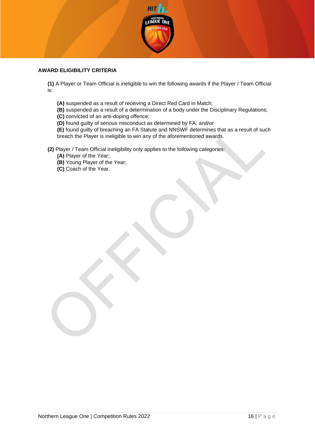

#### <span id="page-15-0"></span>**AWARD ELIGIBILITY CRITERIA**

**(1)** A Player or Team Official is ineligible to win the following awards if the Player / Team Official is:

- **(A)** suspended as a result of receiving a Direct Red Card in Match;
- **(B)** suspended as a result of a determination of a body under the Disciplinary Regulations;
- **(C)** convicted of an anti-doping offence;
- **(D)** found guilty of serious misconduct as determined by FA; and/or

**(E)** found guilty of breaching an FA Statute and NNSWF determines that as a result of such breach the Player is ineligible to win any of the aforementioned awards.

**(2)** Player / Team Official ineligibility only applies to the following categories:

**(A)** Player of the Year;

**(B)** Young Player of the Year;

**(C)** Coach of the Year.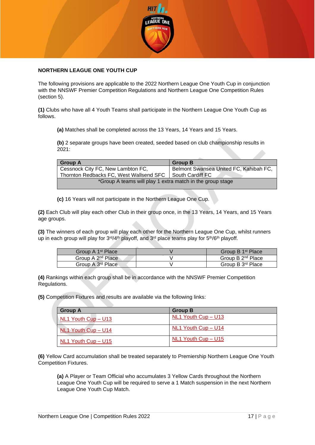

#### **NORTHERN LEAGUE ONE YOUTH CUP**

The following provisions are applicable to the 2022 Northern League One Youth Cup in conjunction with the NNSWF Premier Competition Regulations and Northern League One Competition Rules (section 5).

**(1)** Clubs who have all 4 Youth Teams shall participate in the Northern League One Youth Cup as follows.

**(a)** Matches shall be completed across the 13 Years, 14 Years and 15 Years.

**(b)** 2 separate groups have been created, seeded based on club championship results in  $2021$ 

| <b>Group A</b>                                            | <b>Group B</b>                         |  |
|-----------------------------------------------------------|----------------------------------------|--|
| Cessnock City FC, New Lambton FC,                         | Belmont Swansea United FC, Kahibah FC, |  |
| Thornton Redbacks FC, West Wallsend SFC                   | South Cardiff FC                       |  |
| *Group A teams will play 1 extra match in the group stage |                                        |  |

**(c)** 16 Years will not participate in the Northern League One Cup.

**(2)** Each Club will play each other Club in their group once, in the 13 Years, 14 Years, and 15 Years age groups.

**(3)** The winners of each group will play each other for the Northern League One Cup, whilst runners up in each group will play for 3<sup>rd</sup>/4<sup>th</sup> playoff, and 3<sup>rd</sup> place teams play for 5<sup>th</sup>/6<sup>th</sup> playoff.

| Group A 1 <sup>st</sup> Place | Group B 1 <sup>st</sup> Place |
|-------------------------------|-------------------------------|
| Group A 2 <sup>nd</sup> Place | Group B 2 <sup>nd</sup> Place |
| Group A 3 <sup>rd</sup> Place | Group B 3rd Place             |

**(4)** Rankings within each group shall be in accordance with the NNSWF Premier Competition Regulations.

**(5)** Competition Fixtures and results are available via the following links:

| <b>Group A</b>          | <b>Group B</b>      |
|-------------------------|---------------------|
| NL1 Youth Cup - U13     | NL1 Youth Cup - U13 |
| NL1 Youth Cup - U14     | NL1 Youth Cup - U14 |
| $NL1$ Youth Cup $- U15$ | NL1 Youth Cup - U15 |

**(6)** Yellow Card accumulation shall be treated separately to Premiership Northern League One Youth Competition Fixtures.

**(a)** A Player or Team Official who accumulates 3 Yellow Cards throughout the Northern League One Youth Cup will be required to serve a 1 Match suspension in the next Northern League One Youth Cup Match.